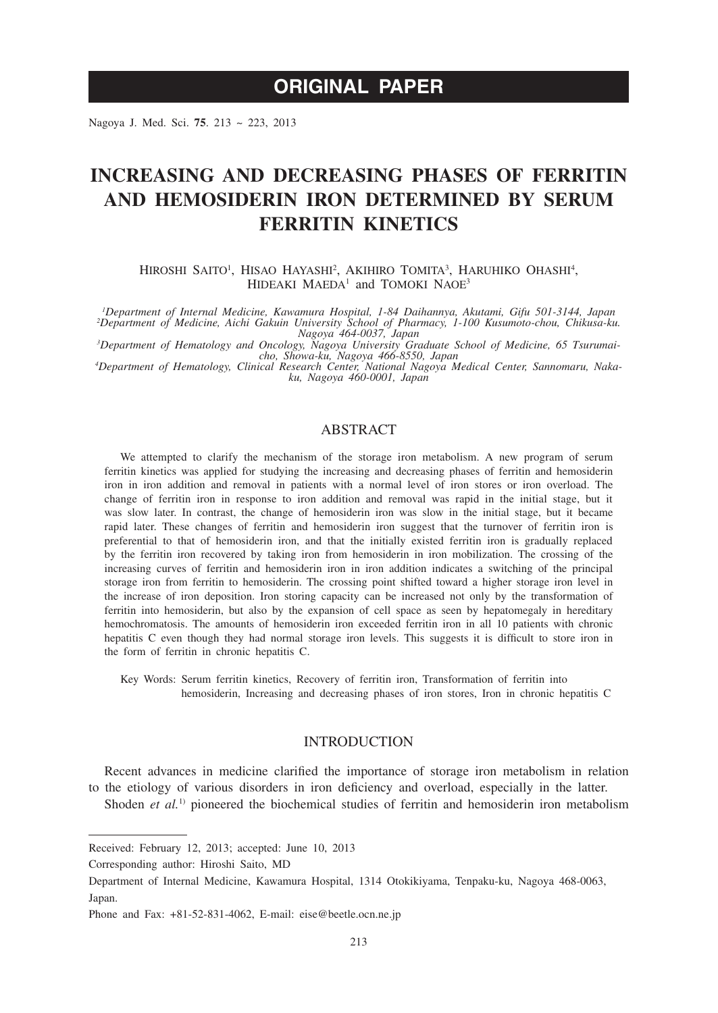# **ORIGINAL PAPER**

Nagoya J. Med. Sci. **75**. 213 ~ 223, 2013

# **INCREASING AND DECREASING PHASES OF FERRITIN AND HEMOSIDERIN IRON DETERMINED BY SERUM FERRITIN KINETICS**

Hiroshi Saito<sup>1</sup>, Hisao Hayashi<sup>2</sup>, Akihiro Tomita<sup>3</sup>, Haruhiko Ohashi<sup>4</sup>, HIDEAKI MAEDA<sup>1</sup> and TOMOKI NAOE<sup>3</sup>

<sup>, 1</sup>Department of Internal Medicine, Kawamura Hospital, 1-84 Daihannya, Akutami, Gifu 501-3144, Japan<br><sup>2</sup>Department of Medicine, Aichi Gakuin University School of Pharmacy, 1-100 Kusumoto-chou, Chikusa-ku.

*Nagoya 464-0037, Japan*<br>
<sup>3</sup>Department of Hematology and Oncology, Nagoya University Graduate School of Medicine, 65 Tsurumai-<br>
<sup>cho, Showa-ku, Nagoya 466-8550, Japan<br> *A Penartment of Hematology Clinical Research Center </sup>* 

*Department of Hematology, Clinical Research Center, National Nagoya Medical Center, Sannomaru, Nakaku, Nagoya 460-0001, Japan*

# ABSTRACT

We attempted to clarify the mechanism of the storage iron metabolism. A new program of serum ferritin kinetics was applied for studying the increasing and decreasing phases of ferritin and hemosiderin iron in iron addition and removal in patients with a normal level of iron stores or iron overload. The change of ferritin iron in response to iron addition and removal was rapid in the initial stage, but it was slow later. In contrast, the change of hemosiderin iron was slow in the initial stage, but it became rapid later. These changes of ferritin and hemosiderin iron suggest that the turnover of ferritin iron is preferential to that of hemosiderin iron, and that the initially existed ferritin iron is gradually replaced by the ferritin iron recovered by taking iron from hemosiderin in iron mobilization. The crossing of the increasing curves of ferritin and hemosiderin iron in iron addition indicates a switching of the principal storage iron from ferritin to hemosiderin. The crossing point shifted toward a higher storage iron level in the increase of iron deposition. Iron storing capacity can be increased not only by the transformation of ferritin into hemosiderin, but also by the expansion of cell space as seen by hepatomegaly in hereditary hemochromatosis. The amounts of hemosiderin iron exceeded ferritin iron in all 10 patients with chronic hepatitis C even though they had normal storage iron levels. This suggests it is difficult to store iron in the form of ferritin in chronic hepatitis C.

Key Words: Serum ferritin kinetics, Recovery of ferritin iron, Transformation of ferritin into hemosiderin, Increasing and decreasing phases of iron stores, Iron in chronic hepatitis C

# INTRODUCTION

Recent advances in medicine clarified the importance of storage iron metabolism in relation to the etiology of various disorders in iron deficiency and overload, especially in the latter.

Shoden *et al.*<sup>1)</sup> pioneered the biochemical studies of ferritin and hemosiderin iron metabolism

Received: February 12, 2013; accepted: June 10, 2013

Corresponding author: Hiroshi Saito, MD

Department of Internal Medicine, Kawamura Hospital, 1314 Otokikiyama, Tenpaku-ku, Nagoya 468-0063, Japan.

Phone and Fax: +81-52-831-4062, E-mail: eise@beetle.ocn.ne.jp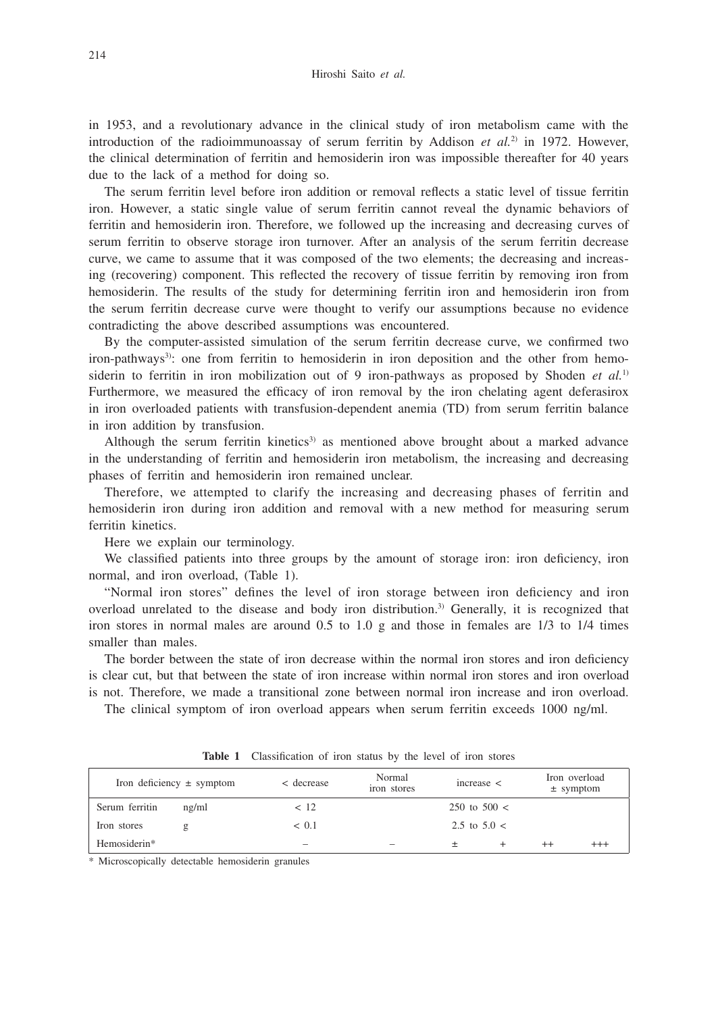in 1953, and a revolutionary advance in the clinical study of iron metabolism came with the introduction of the radioimmunoassay of serum ferritin by Addison *et al.*<sup>2)</sup> in 1972. However, the clinical determination of ferritin and hemosiderin iron was impossible thereafter for 40 years due to the lack of a method for doing so.

The serum ferritin level before iron addition or removal reflects a static level of tissue ferritin iron. However, a static single value of serum ferritin cannot reveal the dynamic behaviors of ferritin and hemosiderin iron. Therefore, we followed up the increasing and decreasing curves of serum ferritin to observe storage iron turnover. After an analysis of the serum ferritin decrease curve, we came to assume that it was composed of the two elements; the decreasing and increasing (recovering) component. This reflected the recovery of tissue ferritin by removing iron from hemosiderin. The results of the study for determining ferritin iron and hemosiderin iron from the serum ferritin decrease curve were thought to verify our assumptions because no evidence contradicting the above described assumptions was encountered.

By the computer-assisted simulation of the serum ferritin decrease curve, we confirmed two iron-pathways<sup>3)</sup>: one from ferritin to hemosiderin in iron deposition and the other from hemosiderin to ferritin in iron mobilization out of 9 iron-pathways as proposed by Shoden *et al.*1) Furthermore, we measured the efficacy of iron removal by the iron chelating agent deferasirox in iron overloaded patients with transfusion-dependent anemia (TD) from serum ferritin balance in iron addition by transfusion.

Although the serum ferritin kinetics<sup>3)</sup> as mentioned above brought about a marked advance in the understanding of ferritin and hemosiderin iron metabolism, the increasing and decreasing phases of ferritin and hemosiderin iron remained unclear.

Therefore, we attempted to clarify the increasing and decreasing phases of ferritin and hemosiderin iron during iron addition and removal with a new method for measuring serum ferritin kinetics.

Here we explain our terminology.

We classified patients into three groups by the amount of storage iron: iron deficiency, iron normal, and iron overload, (Table 1).

"Normal iron stores" defines the level of iron storage between iron deficiency and iron overload unrelated to the disease and body iron distribution.3) Generally, it is recognized that iron stores in normal males are around 0.5 to 1.0 g and those in females are 1/3 to 1/4 times smaller than males.

The border between the state of iron decrease within the normal iron stores and iron deficiency is clear cut, but that between the state of iron increase within normal iron stores and iron overload is not. Therefore, we made a transitional zone between normal iron increase and iron overload.

The clinical symptom of iron overload appears when serum ferritin exceeds 1000 ng/ml.

| Iron deficiency $\pm$ symptom |       | < decrease | Normal<br>iron stores | increase <     | Iron overload<br>$±$ symptom |          |
|-------------------------------|-------|------------|-----------------------|----------------|------------------------------|----------|
| Serum ferritin                | ng/ml | < 12       |                       | 250 to $500 <$ |                              |          |
| Iron stores                   | g     | < 0.1      |                       | 2.5 to $5.0 <$ |                              |          |
| Hemosiderin*                  |       |            |                       |                | $^{++}$                      | $^{+++}$ |

**Table 1** Classification of iron status by the level of iron stores

\* Microscopically detectable hemosiderin granules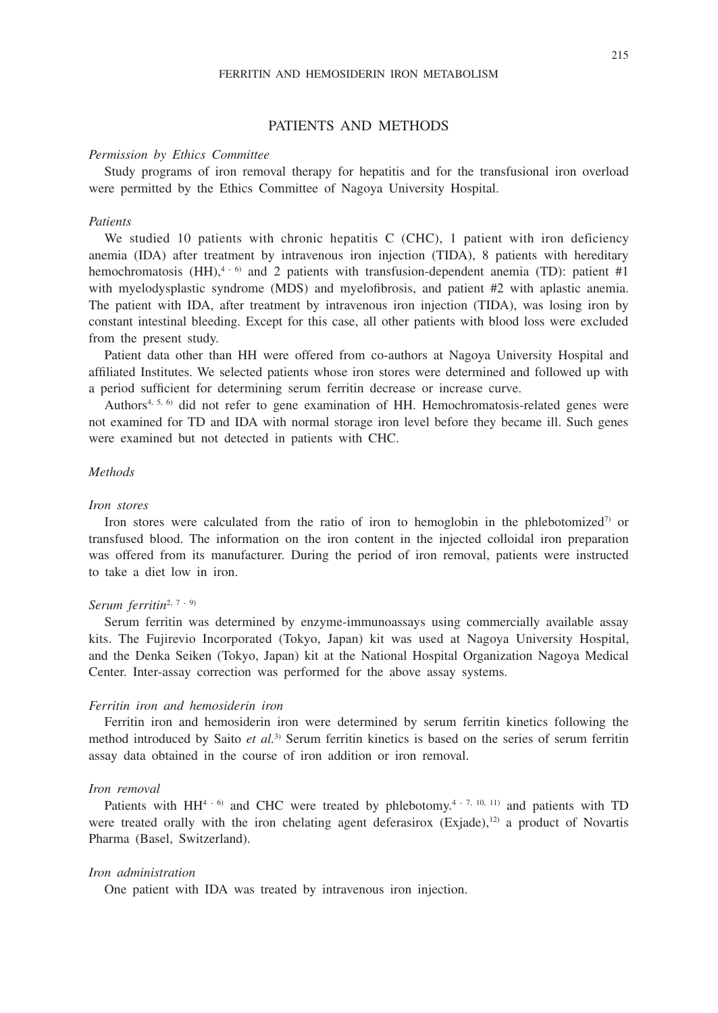# PATIENTS AND METHODS

#### *Permission by Ethics Committee*

Study programs of iron removal therapy for hepatitis and for the transfusional iron overload were permitted by the Ethics Committee of Nagoya University Hospital.

## *Patients*

We studied 10 patients with chronic hepatitis C (CHC), 1 patient with iron deficiency anemia (IDA) after treatment by intravenous iron injection (TIDA), 8 patients with hereditary hemochromatosis (HH),<sup>4 - 6</sup>) and 2 patients with transfusion-dependent anemia (TD): patient #1 with myelodysplastic syndrome (MDS) and myelofibrosis, and patient #2 with aplastic anemia. The patient with IDA, after treatment by intravenous iron injection (TIDA), was losing iron by constant intestinal bleeding. Except for this case, all other patients with blood loss were excluded from the present study.

Patient data other than HH were offered from co-authors at Nagoya University Hospital and affiliated Institutes. We selected patients whose iron stores were determined and followed up with a period sufficient for determining serum ferritin decrease or increase curve.

Authors<sup>4, 5, 6)</sup> did not refer to gene examination of HH. Hemochromatosis-related genes were not examined for TD and IDA with normal storage iron level before they became ill. Such genes were examined but not detected in patients with CHC.

# *Methods*

#### *Iron stores*

Iron stores were calculated from the ratio of iron to hemoglobin in the phlebotomized<sup>7)</sup> or transfused blood. The information on the iron content in the injected colloidal iron preparation was offered from its manufacturer. During the period of iron removal, patients were instructed to take a diet low in iron.

## *Serum ferritin*2, 7 - 9)

Serum ferritin was determined by enzyme-immunoassays using commercially available assay kits. The Fujirevio Incorporated (Tokyo, Japan) kit was used at Nagoya University Hospital, and the Denka Seiken (Tokyo, Japan) kit at the National Hospital Organization Nagoya Medical Center. Inter-assay correction was performed for the above assay systems.

### *Ferritin iron and hemosiderin iron*

Ferritin iron and hemosiderin iron were determined by serum ferritin kinetics following the method introduced by Saito *et al.*3) Serum ferritin kinetics is based on the series of serum ferritin assay data obtained in the course of iron addition or iron removal.

# *Iron removal*

Patients with  $HH^{4-6}$  and CHC were treated by phlebotomy.<sup>4 - 7, 10, 11)</sup> and patients with TD were treated orally with the iron chelating agent deferasirox (Exjade), $12$ ) a product of Novartis Pharma (Basel, Switzerland).

# *Iron administration*

One patient with IDA was treated by intravenous iron injection.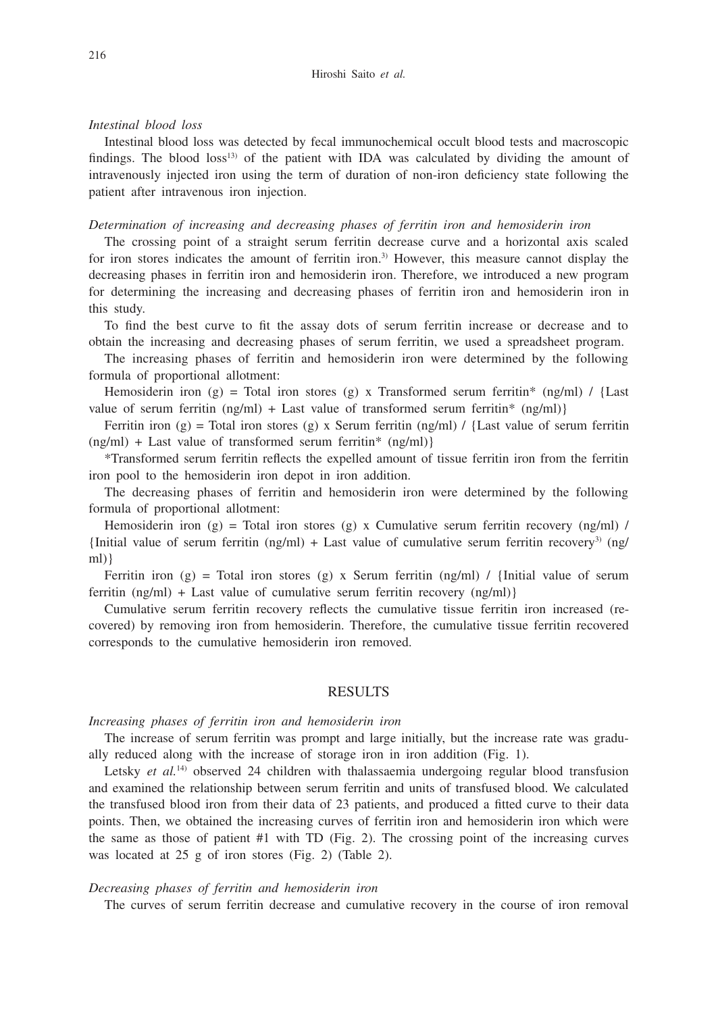# *Intestinal blood loss*

Intestinal blood loss was detected by fecal immunochemical occult blood tests and macroscopic findings. The blood  $loss^{13}$  of the patient with IDA was calculated by dividing the amount of intravenously injected iron using the term of duration of non-iron deficiency state following the patient after intravenous iron injection.

### *Determination of increasing and decreasing phases of ferritin iron and hemosiderin iron*

The crossing point of a straight serum ferritin decrease curve and a horizontal axis scaled for iron stores indicates the amount of ferritin iron.<sup>3)</sup> However, this measure cannot display the decreasing phases in ferritin iron and hemosiderin iron. Therefore, we introduced a new program for determining the increasing and decreasing phases of ferritin iron and hemosiderin iron in this study.

To find the best curve to fit the assay dots of serum ferritin increase or decrease and to obtain the increasing and decreasing phases of serum ferritin, we used a spreadsheet program.

The increasing phases of ferritin and hemosiderin iron were determined by the following formula of proportional allotment:

Hemosiderin iron (g) = Total iron stores (g) x Transformed serum ferritin\* (ng/ml) / {Last value of serum ferritin  $(ng/ml) + Last$  value of transformed serum ferritin\*  $(ng/ml)$ }

Ferritin iron (g) = Total iron stores (g) x Serum ferritin (ng/ml) / {Last value of serum ferritin  $(ng/ml)$  + Last value of transformed serum ferritin\*  $(ng/ml)$ }

\*Transformed serum ferritin reflects the expelled amount of tissue ferritin iron from the ferritin iron pool to the hemosiderin iron depot in iron addition.

The decreasing phases of ferritin and hemosiderin iron were determined by the following formula of proportional allotment:

Hemosiderin iron (g) = Total iron stores (g) x Cumulative serum ferritin recovery (ng/ml) / {Initial value of serum ferritin (ng/ml) + Last value of cumulative serum ferritin recovery<sup>3</sup>) (ng/ ml)}

Ferritin iron (g) = Total iron stores (g) x Serum ferritin (ng/ml) / {Initial value of serum ferritin (ng/ml) + Last value of cumulative serum ferritin recovery (ng/ml)}

Cumulative serum ferritin recovery reflects the cumulative tissue ferritin iron increased (recovered) by removing iron from hemosiderin. Therefore, the cumulative tissue ferritin recovered corresponds to the cumulative hemosiderin iron removed.

## RESULTS

# *Increasing phases of ferritin iron and hemosiderin iron*

The increase of serum ferritin was prompt and large initially, but the increase rate was gradually reduced along with the increase of storage iron in iron addition (Fig. 1).

Letsky *et al.*<sup>14</sup> observed 24 children with thalassaemia undergoing regular blood transfusion and examined the relationship between serum ferritin and units of transfused blood. We calculated the transfused blood iron from their data of 23 patients, and produced a fitted curve to their data points. Then, we obtained the increasing curves of ferritin iron and hemosiderin iron which were the same as those of patient #1 with TD (Fig. 2). The crossing point of the increasing curves was located at 25 g of iron stores (Fig. 2) (Table 2).

## *Decreasing phases of ferritin and hemosiderin iron*

The curves of serum ferritin decrease and cumulative recovery in the course of iron removal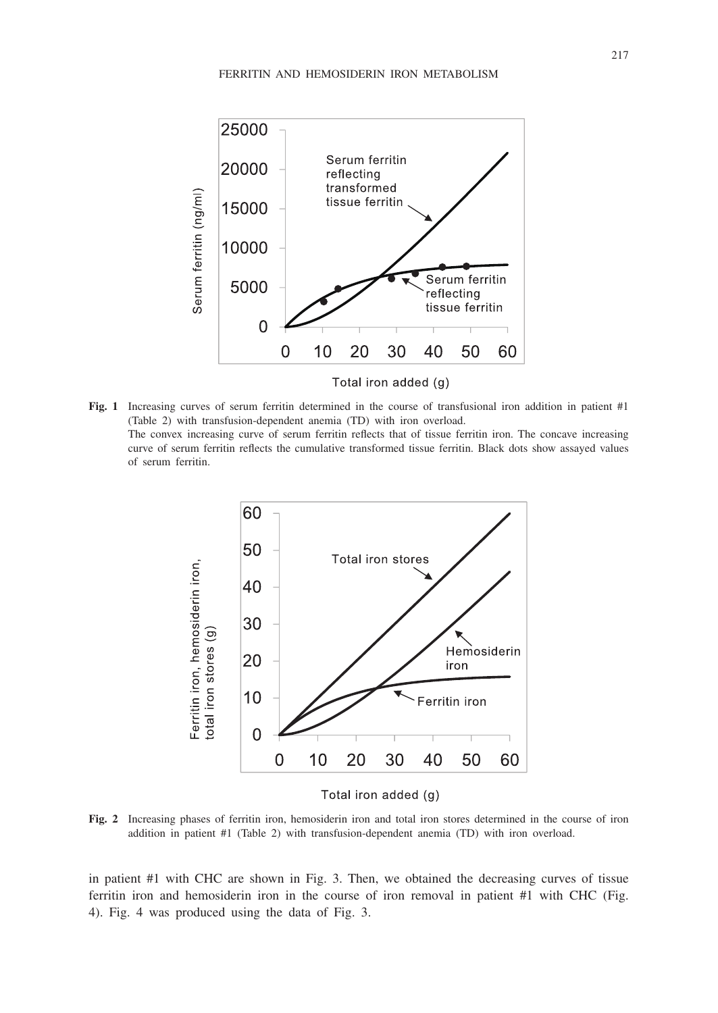

Total iron added (g)

**Fig. 1** Increasing curves of serum ferritin determined in the course of transfusional iron addition in patient #1 (Table 2) with transfusion-dependent anemia (TD) with iron overload. The convex increasing curve of serum ferritin reflects that of tissue ferritin iron. The concave increasing curve of serum ferritin reflects the cumulative transformed tissue ferritin. Black dots show assayed values of serum ferritin.



Total iron added (g)

**Fig. 2** Increasing phases of ferritin iron, hemosiderin iron and total iron stores determined in the course of iron addition in patient #1 (Table 2) with transfusion-dependent anemia (TD) with iron overload.

in patient #1 with CHC are shown in Fig. 3. Then, we obtained the decreasing curves of tissue ferritin iron and hemosiderin iron in the course of iron removal in patient #1 with CHC (Fig. 4). Fig. 4 was produced using the data of Fig. 3.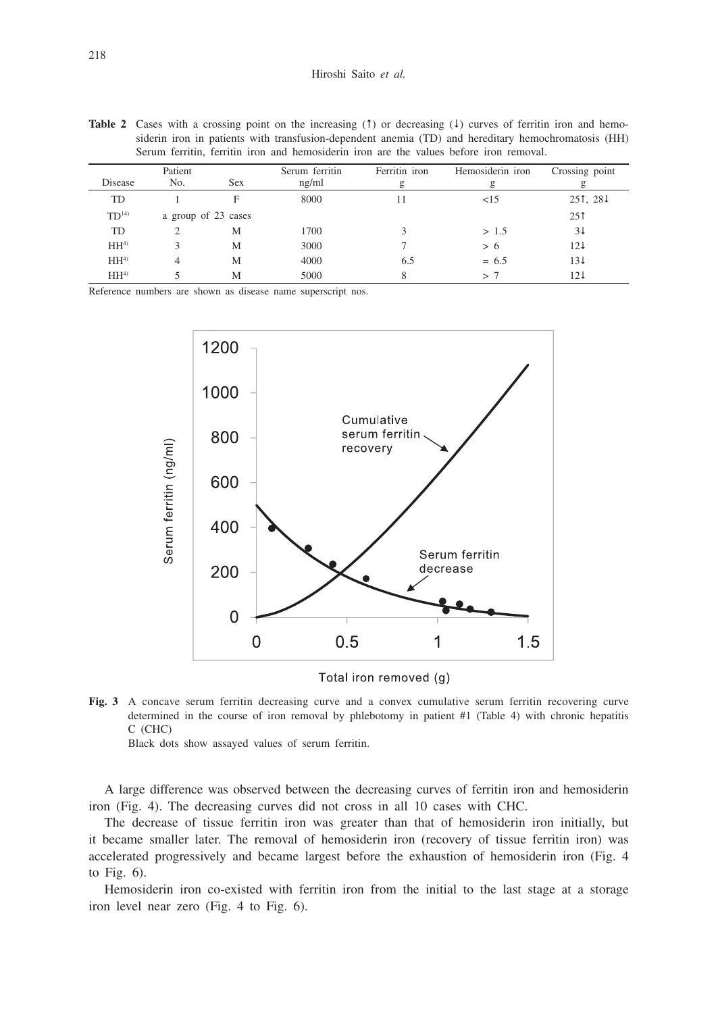| <b>Table 2</b> Cases with a crossing point on the increasing (1) or decreasing (4) curves of ferritin iron and hemo- |
|----------------------------------------------------------------------------------------------------------------------|
| siderin iron in patients with transfusion-dependent anemia (TD) and hereditary hemochromatosis (HH)                  |
| Serum ferritin, ferritin iron and hemosiderin iron are the values before iron removal.                               |

| Disease          | Patient<br>No.      | <b>Sex</b> | Serum ferritin<br>ng/ml | Ferritin iron<br>g | Hemosiderin iron<br>g | Crossing point |
|------------------|---------------------|------------|-------------------------|--------------------|-----------------------|----------------|
| TD               |                     | F          | 8000                    | 11                 | <15                   | 251, 281       |
| TD <sup>14</sup> | a group of 23 cases |            |                         |                    |                       | 251            |
| TD               |                     | М          | 1700                    |                    | > 1.5                 | 31             |
| HH <sup>4</sup>  | 3                   | M          | 3000                    |                    | > 6                   | $12\downarrow$ |
| HH <sup>4</sup>  |                     | M          | 4000                    | 6.5                | $= 6.5$               | $13\downarrow$ |
| HH <sup>4</sup>  |                     | M          | 5000                    |                    | >7                    | 121            |

Reference numbers are shown as disease name superscript nos.





**Fig. 3** A concave serum ferritin decreasing curve and a convex cumulative serum ferritin recovering curve determined in the course of iron removal by phlebotomy in patient #1 (Table 4) with chronic hepatitis C (CHC)

Black dots show assayed values of serum ferritin.

A large difference was observed between the decreasing curves of ferritin iron and hemosiderin iron (Fig. 4). The decreasing curves did not cross in all 10 cases with CHC.

The decrease of tissue ferritin iron was greater than that of hemosiderin iron initially, but it became smaller later. The removal of hemosiderin iron (recovery of tissue ferritin iron) was accelerated progressively and became largest before the exhaustion of hemosiderin iron (Fig. 4 to Fig. 6).

Hemosiderin iron co-existed with ferritin iron from the initial to the last stage at a storage iron level near zero (Fig. 4 to Fig. 6).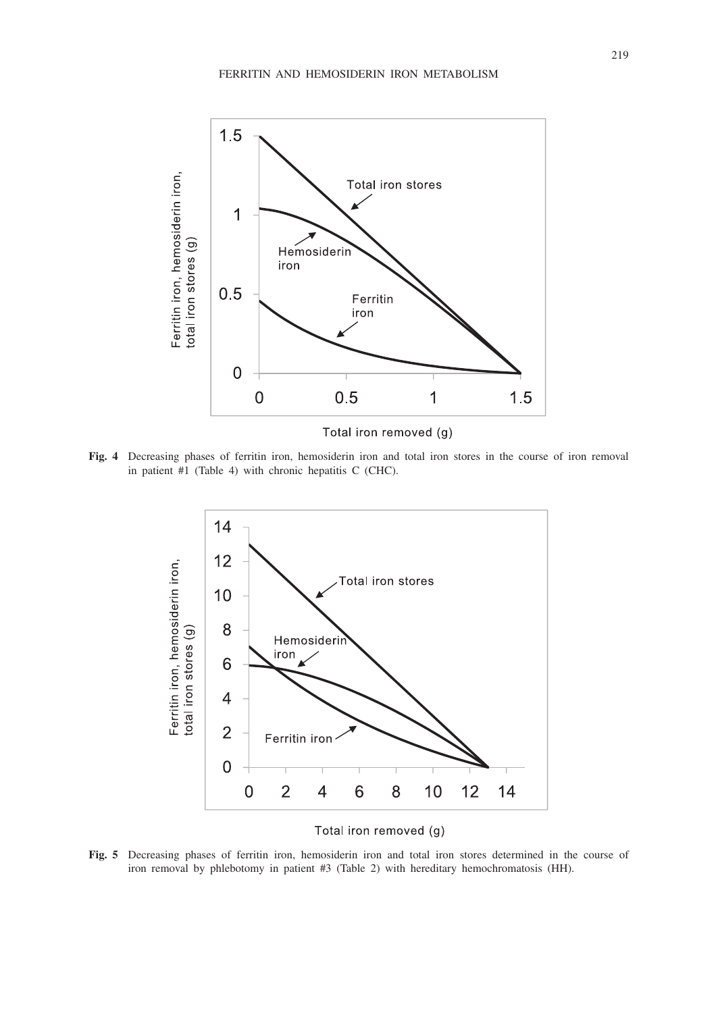

**Fig. 4** Decreasing phases of ferritin iron, hemosiderin iron and total iron stores in the course of iron removal in patient #1 (Table 4) with chronic hepatitis C (CHC).



Total iron removed (g)

**Fig. 5** Decreasing phases of ferritin iron, hemosiderin iron and total iron stores determined in the course of iron removal by phlebotomy in patient #3 (Table 2) with hereditary hemochromatosis (HH).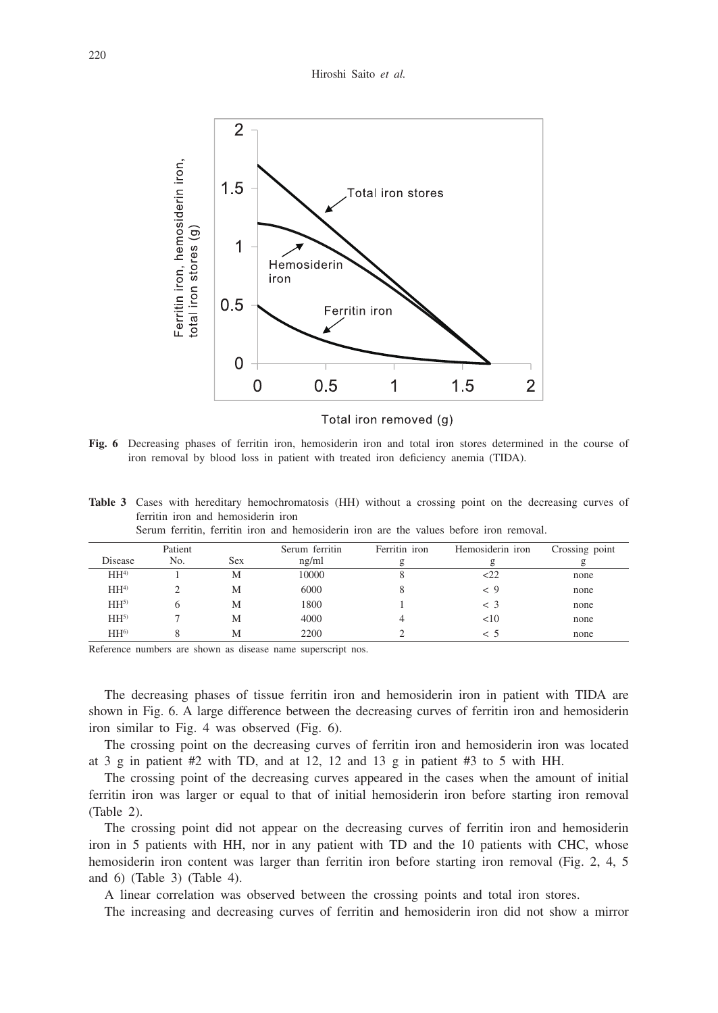

Total iron removed (g)

**Fig. 6** Decreasing phases of ferritin iron, hemosiderin iron and total iron stores determined in the course of iron removal by blood loss in patient with treated iron deficiency anemia (TIDA).

**Table 3** Cases with hereditary hemochromatosis (HH) without a crossing point on the decreasing curves of ferritin iron and hemosiderin iron

|                 | Patient |            | Serum ferritin | Ferritin iron | Hemosiderin iron | Crossing point |
|-----------------|---------|------------|----------------|---------------|------------------|----------------|
| Disease         | No.     | <b>Sex</b> | ng/ml          |               | g                |                |
| HH <sup>4</sup> |         | M          | 10000          |               | 222              | none           |
| HH <sup>4</sup> |         | M          | 6000           |               | < 9              | none           |
| HH <sup>5</sup> |         | M          | 1800           |               | $\leq$ 3         | none           |
| $HH^{5}$        |         | M          | 4000           |               | <10              | none           |
| HH <sup>6</sup> |         | M          | 2200           |               | $\leq 5$         | none           |

Serum ferritin, ferritin iron and hemosiderin iron are the values before iron removal.

Reference numbers are shown as disease name superscript nos.

The decreasing phases of tissue ferritin iron and hemosiderin iron in patient with TIDA are shown in Fig. 6. A large difference between the decreasing curves of ferritin iron and hemosiderin iron similar to Fig. 4 was observed (Fig. 6).

The crossing point on the decreasing curves of ferritin iron and hemosiderin iron was located at 3 g in patient #2 with TD, and at 12, 12 and 13 g in patient #3 to 5 with HH.

The crossing point of the decreasing curves appeared in the cases when the amount of initial ferritin iron was larger or equal to that of initial hemosiderin iron before starting iron removal (Table 2).

The crossing point did not appear on the decreasing curves of ferritin iron and hemosiderin iron in 5 patients with HH, nor in any patient with TD and the 10 patients with CHC, whose hemosiderin iron content was larger than ferritin iron before starting iron removal (Fig. 2, 4, 5 and 6) (Table 3) (Table 4).

A linear correlation was observed between the crossing points and total iron stores.

The increasing and decreasing curves of ferritin and hemosiderin iron did not show a mirror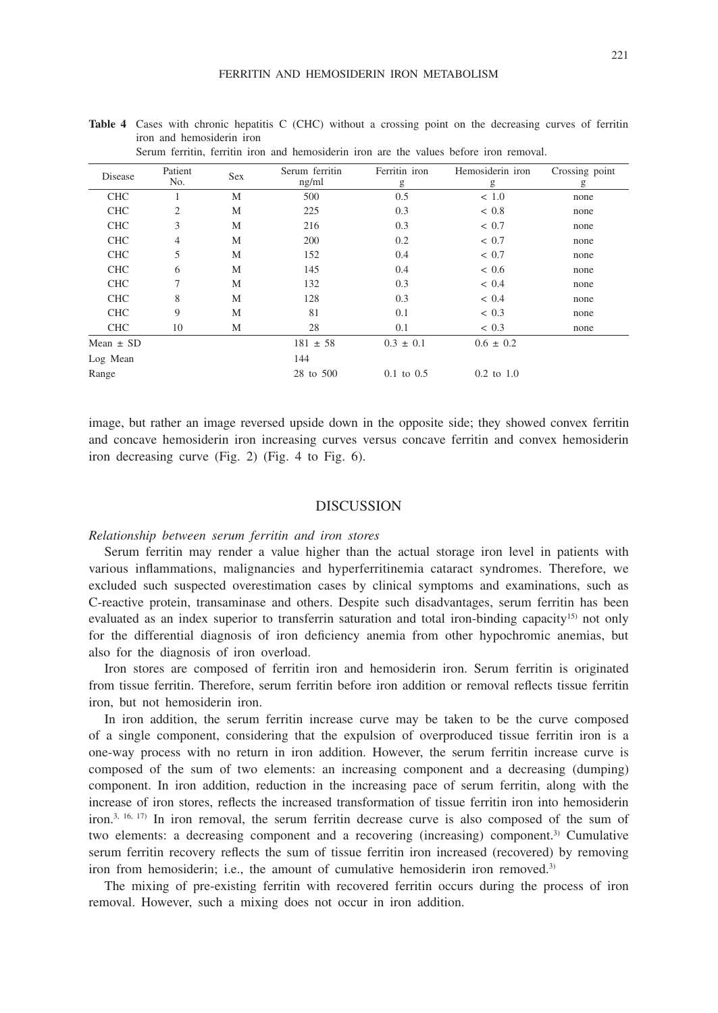| Serum ferritin, ferritin iron and hemosiderin iron are the values before iron removal. |                |            |                         |                    |                       |                     |  |
|----------------------------------------------------------------------------------------|----------------|------------|-------------------------|--------------------|-----------------------|---------------------|--|
| Disease                                                                                | Patient<br>No. | <b>Sex</b> | Serum ferritin<br>ng/ml | Ferritin iron<br>g | Hemosiderin iron<br>g | Crossing point<br>g |  |
| <b>CHC</b>                                                                             |                | M          | 500                     | 0.5                | < 1.0                 | none                |  |
| <b>CHC</b>                                                                             | $\overline{2}$ | M          | 225                     | 0.3                | < 0.8                 | none                |  |
| <b>CHC</b>                                                                             | 3              | M          | 216                     | 0.3                | < 0.7                 | none                |  |
| <b>CHC</b>                                                                             | 4              | M          | 200                     | 0.2                | < 0.7                 | none                |  |
| <b>CHC</b>                                                                             | 5              | M          | 152                     | 0.4                | < 0.7                 | none                |  |
| <b>CHC</b>                                                                             | 6              | М          | 145                     | 0.4                | ~< 0.6                | none                |  |
| <b>CHC</b>                                                                             | 7              | M          | 132                     | 0.3                | ~< 0.4                | none                |  |
| <b>CHC</b>                                                                             | 8              | M          | 128                     | 0.3                | ~< 0.4                | none                |  |
| <b>CHC</b>                                                                             | 9              | M          | 81                      | 0.1                | ~< 0.3                | none                |  |
| <b>CHC</b>                                                                             | 10             | М          | 28                      | 0.1                | ~< 0.3                | none                |  |
| Mean $\pm$ SD                                                                          |                |            | $181 \pm 58$            | $0.3 \pm 0.1$      | $0.6 \pm 0.2$         |                     |  |
| Log Mean                                                                               |                |            | 144                     |                    |                       |                     |  |
| Range                                                                                  |                |            | 28 to 500               | $0.1$ to $0.5$     | $0.2$ to $1.0$        |                     |  |

**Table 4** Cases with chronic hepatitis C (CHC) without a crossing point on the decreasing curves of ferritin iron and hemosiderin iron

image, but rather an image reversed upside down in the opposite side; they showed convex ferritin and concave hemosiderin iron increasing curves versus concave ferritin and convex hemosiderin iron decreasing curve (Fig. 2) (Fig. 4 to Fig. 6).

## DISCUSSION

#### *Relationship between serum ferritin and iron stores*

Serum ferritin may render a value higher than the actual storage iron level in patients with various inflammations, malignancies and hyperferritinemia cataract syndromes. Therefore, we excluded such suspected overestimation cases by clinical symptoms and examinations, such as C-reactive protein, transaminase and others. Despite such disadvantages, serum ferritin has been evaluated as an index superior to transferrin saturation and total iron-binding capacity<sup>15)</sup> not only for the differential diagnosis of iron deficiency anemia from other hypochromic anemias, but also for the diagnosis of iron overload.

Iron stores are composed of ferritin iron and hemosiderin iron. Serum ferritin is originated from tissue ferritin. Therefore, serum ferritin before iron addition or removal reflects tissue ferritin iron, but not hemosiderin iron.

In iron addition, the serum ferritin increase curve may be taken to be the curve composed of a single component, considering that the expulsion of overproduced tissue ferritin iron is a one-way process with no return in iron addition. However, the serum ferritin increase curve is composed of the sum of two elements: an increasing component and a decreasing (dumping) component. In iron addition, reduction in the increasing pace of serum ferritin, along with the increase of iron stores, reflects the increased transformation of tissue ferritin iron into hemosiderin iron.3, 16, 17) In iron removal, the serum ferritin decrease curve is also composed of the sum of two elements: a decreasing component and a recovering (increasing) component.3) Cumulative serum ferritin recovery reflects the sum of tissue ferritin iron increased (recovered) by removing iron from hemosiderin; i.e., the amount of cumulative hemosiderin iron removed.<sup>3)</sup>

The mixing of pre-existing ferritin with recovered ferritin occurs during the process of iron removal. However, such a mixing does not occur in iron addition.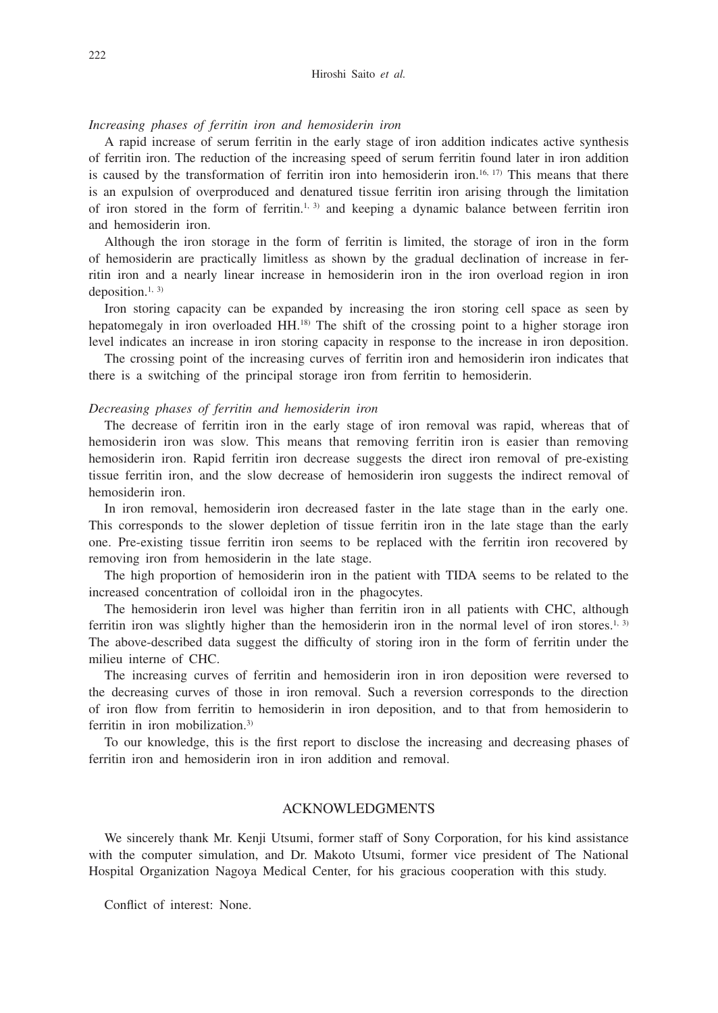## *Increasing phases of ferritin iron and hemosiderin iron*

A rapid increase of serum ferritin in the early stage of iron addition indicates active synthesis of ferritin iron. The reduction of the increasing speed of serum ferritin found later in iron addition is caused by the transformation of ferritin iron into hemosiderin iron.<sup>16, 17)</sup> This means that there is an expulsion of overproduced and denatured tissue ferritin iron arising through the limitation of iron stored in the form of ferritin.<sup>1, 3)</sup> and keeping a dynamic balance between ferritin iron and hemosiderin iron.

Although the iron storage in the form of ferritin is limited, the storage of iron in the form of hemosiderin are practically limitless as shown by the gradual declination of increase in ferritin iron and a nearly linear increase in hemosiderin iron in the iron overload region in iron deposition. $1, 3$ )

Iron storing capacity can be expanded by increasing the iron storing cell space as seen by hepatomegaly in iron overloaded HH.<sup>18)</sup> The shift of the crossing point to a higher storage iron level indicates an increase in iron storing capacity in response to the increase in iron deposition.

The crossing point of the increasing curves of ferritin iron and hemosiderin iron indicates that there is a switching of the principal storage iron from ferritin to hemosiderin.

### *Decreasing phases of ferritin and hemosiderin iron*

The decrease of ferritin iron in the early stage of iron removal was rapid, whereas that of hemosiderin iron was slow. This means that removing ferritin iron is easier than removing hemosiderin iron. Rapid ferritin iron decrease suggests the direct iron removal of pre-existing tissue ferritin iron, and the slow decrease of hemosiderin iron suggests the indirect removal of hemosiderin iron.

In iron removal, hemosiderin iron decreased faster in the late stage than in the early one. This corresponds to the slower depletion of tissue ferritin iron in the late stage than the early one. Pre-existing tissue ferritin iron seems to be replaced with the ferritin iron recovered by removing iron from hemosiderin in the late stage.

The high proportion of hemosiderin iron in the patient with TIDA seems to be related to the increased concentration of colloidal iron in the phagocytes.

The hemosiderin iron level was higher than ferritin iron in all patients with CHC, although ferritin iron was slightly higher than the hemosiderin iron in the normal level of iron stores.<sup>1, 3)</sup> The above-described data suggest the difficulty of storing iron in the form of ferritin under the milieu interne of CHC.

The increasing curves of ferritin and hemosiderin iron in iron deposition were reversed to the decreasing curves of those in iron removal. Such a reversion corresponds to the direction of iron flow from ferritin to hemosiderin in iron deposition, and to that from hemosiderin to ferritin in iron mobilization.3)

To our knowledge, this is the first report to disclose the increasing and decreasing phases of ferritin iron and hemosiderin iron in iron addition and removal.

# ACKNOWLEDGMENTS

We sincerely thank Mr. Kenji Utsumi, former staff of Sony Corporation, for his kind assistance with the computer simulation, and Dr. Makoto Utsumi, former vice president of The National Hospital Organization Nagoya Medical Center, for his gracious cooperation with this study.

Conflict of interest: None.